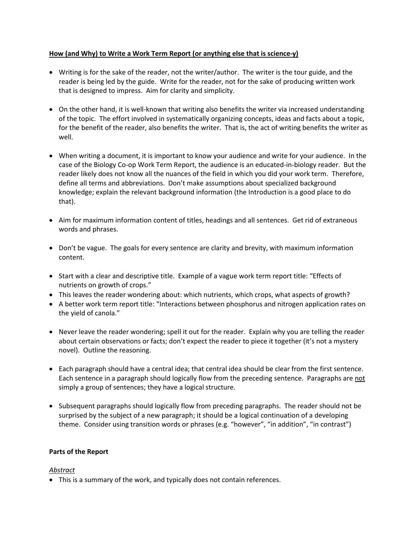### **How (and Why) to Write a Work Term Report (or anything else that is science-y)**

- Writing is for the sake of the reader, not the writer/author. The writer is the tour guide, and the reader is being led by the guide. Write for the reader, not for the sake of producing written work that is designed to impress. Aim for clarity and simplicity.
- On the other hand, it is well-known that writing also benefits the writer via increased understanding of the topic. The effort involved in systematically organizing concepts, ideas and facts about a topic, for the benefit of the reader, also benefits the writer. That is, the act of writing benefits the writer as well.
- When writing a document, it is important to know your audience and write for your audience. In the case of the Biology Co-op Work Term Report, the audience is an educated-in-biology reader. But the reader likely does not know all the nuances of the field in which you did your work term. Therefore, define all terms and abbreviations. Don't make assumptions about specialized background knowledge; explain the relevant background information (the Introduction is a good place to do that).
- Aim for maximum information content of titles, headings and all sentences. Get rid of extraneous words and phrases.
- Don't be vague. The goals for every sentence are clarity and brevity, with maximum information content.
- Start with a clear and descriptive title. Example of a vague work term report title: "Effects of nutrients on growth of crops."
- This leaves the reader wondering about: which nutrients, which crops, what aspects of growth?
- A better work term report title: "Interactions between phosphorus and nitrogen application rates on the yield of canola."
- Never leave the reader wondering; spell it out for the reader. Explain why you are telling the reader about certain observations or facts; don't expect the reader to piece it together (it's not a mystery novel). Outline the reasoning.
- Each paragraph should have a central idea; that central idea should be clear from the first sentence. Each sentence in a paragraph should logically flow from the preceding sentence. Paragraphs are not simply a group of sentences; they have a logical structure.
- Subsequent paragraphs should logically flow from preceding paragraphs. The reader should not be surprised by the subject of a new paragraph; it should be a logical continuation of a developing theme. Consider using transition words or phrases (e.g. "however", "in addition", "in contrast")

# **Parts of the Report**

#### *Abstract*

This is a summary of the work, and typically does not contain references.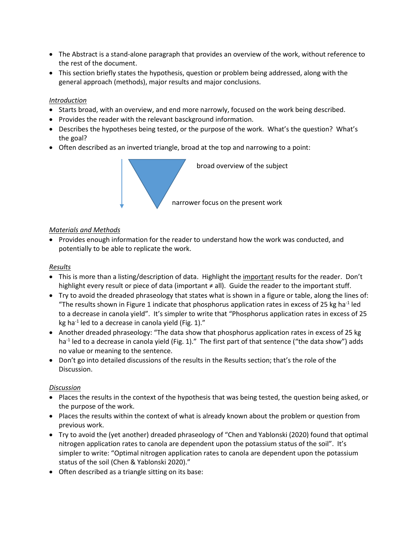- The Abstract is a stand-alone paragraph that provides an overview of the work, without reference to the rest of the document.
- This section briefly states the hypothesis, question or problem being addressed, along with the general approach (methods), major results and major conclusions.

## *Introduction*

- Starts broad, with an overview, and end more narrowly, focused on the work being described.
- Provides the reader with the relevant basckground information.
- Describes the hypotheses being tested, or the purpose of the work. What's the question? What's the goal?
- Often described as an inverted triangle, broad at the top and narrowing to a point:



#### *Materials and Methods*

• Provides enough information for the reader to understand how the work was conducted, and potentially to be able to replicate the work.

### *Results*

- This is more than a listing/description of data. Highlight the important results for the reader. Don't highlight every result or piece of data (important ≠ all). Guide the reader to the important stuff.
- Try to avoid the dreaded phraseology that states what is shown in a figure or table, along the lines of: "The results shown in Figure 1 indicate that phosphorus application rates in excess of 25 kg ha<sup>-1</sup> led to a decrease in canola yield". It's simpler to write that "Phosphorus application rates in excess of 25 kg ha<sup>-1</sup> led to a decrease in canola yield (Fig. 1)."
- Another dreaded phraseology: "The data show that phosphorus application rates in excess of 25 kg ha<sup>-1</sup> led to a decrease in canola yield (Fig. 1)." The first part of that sentence ("the data show") adds no value or meaning to the sentence.
- Don't go into detailed discussions of the results in the Results section; that's the role of the Discussion.

#### *Discussion*

- Places the results in the context of the hypothesis that was being tested, the question being asked, or the purpose of the work.
- Places the results within the context of what is already known about the problem or question from previous work.
- Try to avoid the (yet another) dreaded phraseology of "Chen and Yablonski (2020) found that optimal nitrogen application rates to canola are dependent upon the potassium status of the soil". It's simpler to write: "Optimal nitrogen application rates to canola are dependent upon the potassium status of the soil (Chen & Yablonski 2020)."
- Often described as a triangle sitting on its base: